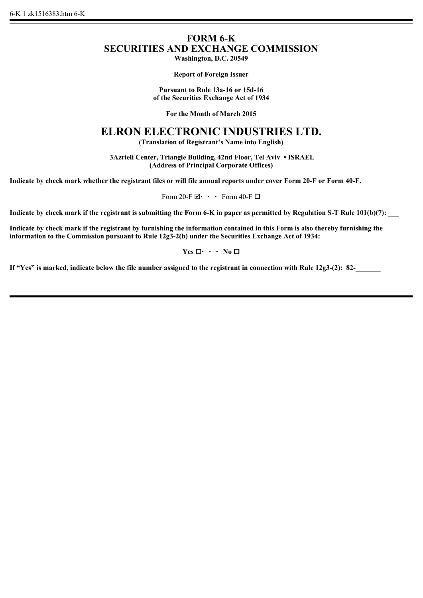## **FORM 6-K SECURITIES AND EXCHANGE COMMISSION**

**Washington, D.C. 20549**

**Report of Foreign Issuer**

**Pursuant to Rule 13a-16 or 15d-16 of the Securities Exchange Act of 1934**

**For the Month of March 2015**

## **ELRON ELECTRONIC INDUSTRIES LTD.**

**(Translation of Registrant's Name into English)**

 **3Azrieli Center, Triangle Building, 42nd Floor, Tel Aviv • ISRAEL (Address of Principal Corporate Offices)**

**Indicate by check mark whether the registrant files or will file annual reports under cover Form 20-F or Form 40-F.**

Form 20-F $\boxdot \cdot \cdot$  Form 40-F $\Box$ 

**Indicate by check mark if the registrant is submitting the Form 6-K in paper as permitted by Regulation S-T Rule 101(b)(7):** 

**Indicate by check mark if the registrant by furnishing the information contained in this Form is also thereby furnishing the information to the Commission pursuant to Rule 12g3-2(b) under the Securities Exchange Act of 1934:**

 $Yes \Box \cdot \cdot \cdot No \Box$ 

If "Yes" is marked, indicate below the file number assigned to the registrant in connection with Rule 12g3-(2): 82-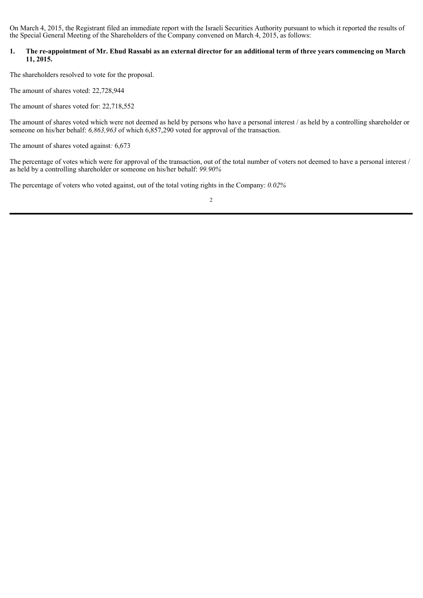On March 4, 2015, the Registrant filed an immediate report with the Israeli Securities Authority pursuant to which it reported the results of the Special General Meeting of the Shareholders of the Company convened on March 4, 2015, as follows:

## **1. The re-appointment of Mr. Ehud Rassabi as an external director for an additional term of three years commencing on March 11, 2015.**

The shareholders resolved to vote for the proposal.

The amount of shares voted: 22,728,944

The amount of shares voted for: 22,718,552

The amount of shares voted which were not deemed as held by persons who have a personal interest / as held by a controlling shareholder or someone on his/her behalf: *6,863,963* of which 6,857,290 voted for approval of the transaction.

The amount of shares voted against*:* 6,673

The percentage of votes which were for approval of the transaction, out of the total number of voters not deemed to have a personal interest / as held by a controlling shareholder or someone on his/her behalf: *99.90%*

The percentage of voters who voted against, out of the total voting rights in the Company: *0.02%*

2